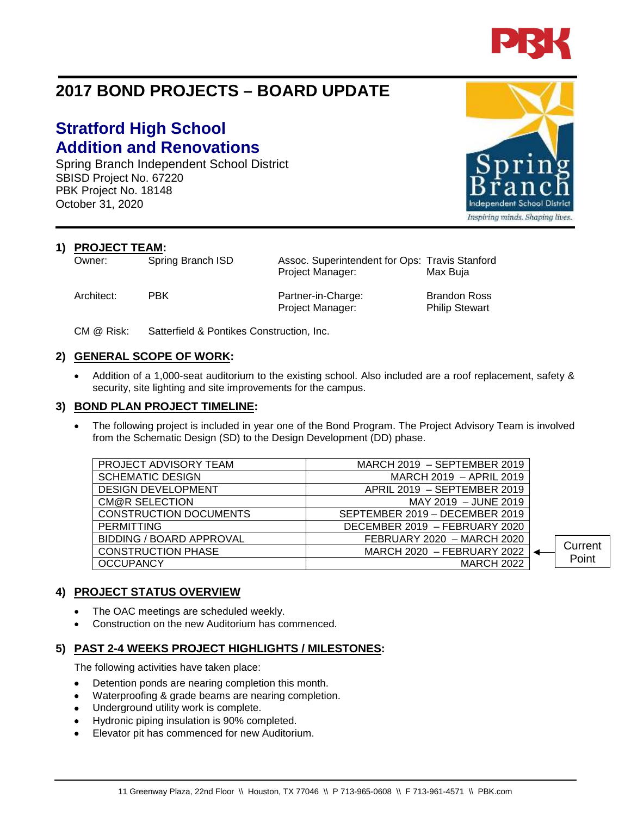

# **2017 BOND PROJECTS – BOARD UPDATE**

# **Stratford High School Addition and Renovations**

Spring Branch Independent School District SBISD Project No. 67220 PBK Project No. 18148 October 31, 2020

**1) PROJECT TEAM:**<br>Owner: Spring Branch ISD

Architect: PBK Partner-in-Charge: Brandon Ross Project Manager: Philip Stewart

Assoc. Superintendent for Ops: Travis Stanford Project Manager: Max Buja

CM @ Risk: Satterfield & Pontikes Construction, Inc.

### **2) GENERAL SCOPE OF WORK:**

• Addition of a 1,000-seat auditorium to the existing school. Also included are a roof replacement, safety & security, site lighting and site improvements for the campus.

#### **3) BOND PLAN PROJECT TIMELINE:**

• The following project is included in year one of the Bond Program. The Project Advisory Team is involved from the Schematic Design (SD) to the Design Development (DD) phase.

| PROJECT ADVISORY TEAM           | MARCH $2019$ – SEPTEMBER 2019  |         |
|---------------------------------|--------------------------------|---------|
| <b>SCHEMATIC DESIGN</b>         | MARCH 2019 - APRIL 2019        |         |
| <b>DESIGN DEVELOPMENT</b>       | APRIL 2019 - SEPTEMBER 2019    |         |
| CM@R SELECTION                  | MAY 2019 - JUNE 2019           |         |
| <b>CONSTRUCTION DOCUMENTS</b>   | SEPTEMBER 2019 - DECEMBER 2019 |         |
| <b>PERMITTING</b>               | DECEMBER 2019 - FEBRUARY 2020  |         |
| <b>BIDDING / BOARD APPROVAL</b> | FEBRUARY 2020 - MARCH 2020     |         |
| <b>CONSTRUCTION PHASE</b>       | MARCH 2020 - FEBRUARY 2022     | Current |
| <b>OCCUPANCY</b>                | <b>MARCH 2022</b>              | Point   |
|                                 |                                |         |

### **4) PROJECT STATUS OVERVIEW**

- The OAC meetings are scheduled weekly.
- Construction on the new Auditorium has commenced.

## **5) PAST 2-4 WEEKS PROJECT HIGHLIGHTS / MILESTONES:**

The following activities have taken place:

- Detention ponds are nearing completion this month.
- Waterproofing & grade beams are nearing completion.
- Underground utility work is complete.
- Hydronic piping insulation is 90% completed.
- Elevator pit has commenced for new Auditorium.



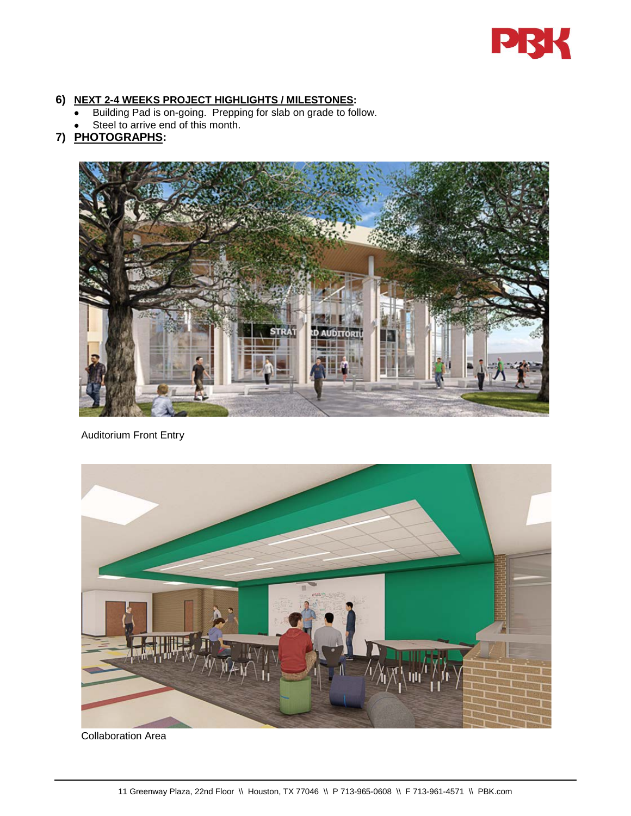

#### **6) NEXT 2-4 WEEKS PROJECT HIGHLIGHTS / MILESTONES:**

- Building Pad is on-going. Prepping for slab on grade to follow.
- Steel to arrive end of this month.

## **7) PHOTOGRAPHS:**



Auditorium Front Entry



Collaboration Area